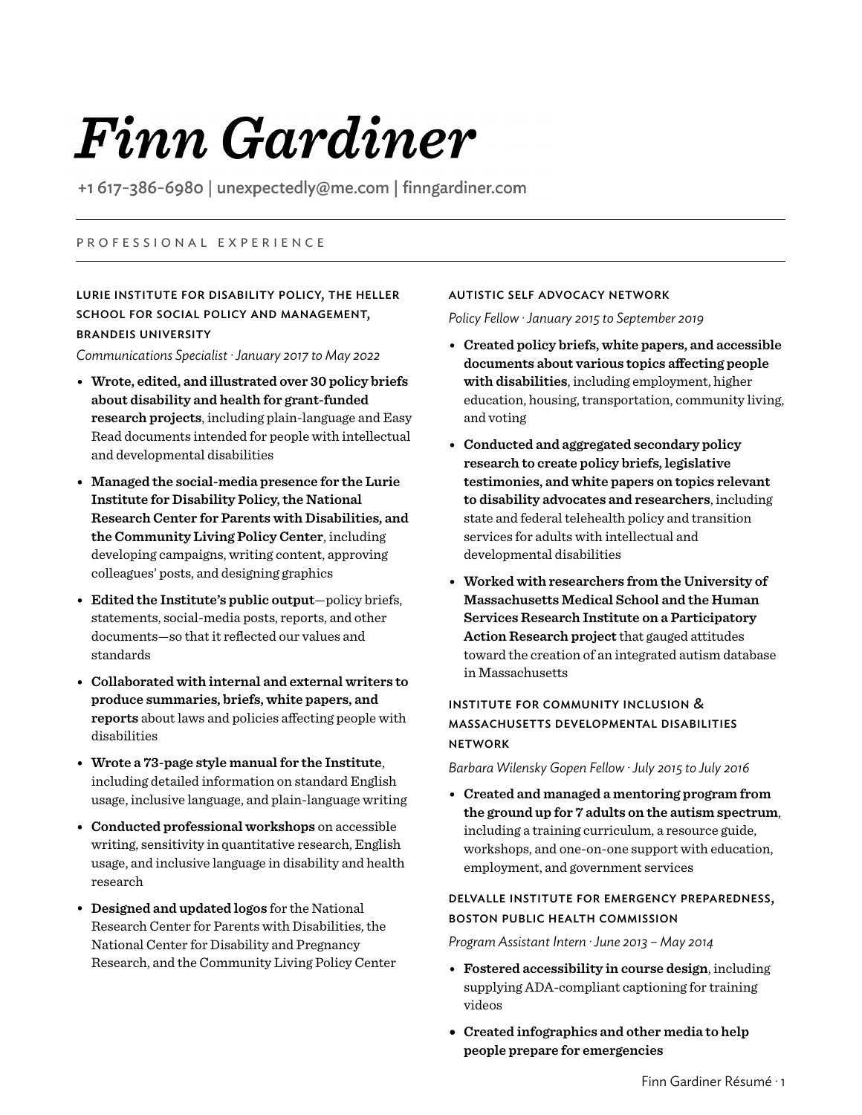# Finn Gardiner

+1 617-386-6980 | unexpectedly@me.com | finngardiner.com

# P R O F E S S I O N A L E X P E R I E N C E

# LURIE INSTITUTE FOR DISABILITY POLICY, THE HELLER SCHOOL FOR SOCIAL POLICY AND MANAGEMENT, BRANDEIS UNIVERSITY

*Communications Specialist ·January 2017 to May 2022*

- **Wrote, edited, and illustrated over 30 policy briefs about disability and health for grant-funded research projects**, including plain-language and Easy Read documents intended for people with intellectual and developmental disabilities
- **Managed the social-media presence for the Lurie Institute for Disability Policy, the National Research Center for Parents with Disabilities, and the Community Living Policy Center**, including developing campaigns, writing content, approving colleagues' posts, and designing graphics
- **Edited the Institute's public output**—policy briefs, statements, social-media posts, reports, and other documents—so that it reflected our values and standards
- **Collaborated with internal and external writers to produce summaries, briefs, white papers, and reports** about laws and policies affecting people with disabilities
- **Wrote a 73-page style manual for the Institute**, including detailed information on standard English usage, inclusive language, and plain-language writing
- **Conducted professional workshops** on accessible writing, sensitivity in quantitative research, English usage, and inclusive language in disability and health research
- **Designed and updated logos** for the National Research Center for Parents with Disabilities, the National Center for Disability and Pregnancy Research, and the Community Living Policy Center

# AUTISTIC SELF ADVOCACY NETWORK

*Policy Fellow ·January 2015 to September 2019*

- **Created policy briefs, white papers, and accessible documents about various topics affecting people with disabilities**, including employment, higher education, housing, transportation, community living, and voting
- **Conducted and aggregated secondary policy research to create policy briefs, legislative testimonies, and white papers on topics relevant to disability advocates and researchers**, including state and federal telehealth policy and transition services for adults with intellectual and developmental disabilities
- **Worked with researchers from the University of Massachusetts Medical School and the Human Services Research Institute on a Participatory Action Research project** that gauged attitudes toward the creation of an integrated autism database in Massachusetts

# INSTITUTE FOR COMMUNITY INCLUSION & MASSACHUSETTS DEVELOPMENTAL DISABILITIES NETWORK

*Barbara Wilensky Gopen Fellow · July 2015 to July 2016* 

• **Created and managed a mentoring program from the ground up for 7 adults on the autism spectrum**, including a training curriculum, a resource guide, workshops, and one-on-one support with education, employment, and government services

# DELVALLE INSTITUTE FOR EMERGENCY PREPAREDNESS, BOSTON PUBLIC HEALTH COMMISSION

*Program Assistant Intern ·June 2013 – May 2014*

- **Fostered accessibility in course design**, including supplying ADA-compliant captioning for training videos
- **• Created infographics and other media to help people prepare for emergencies**